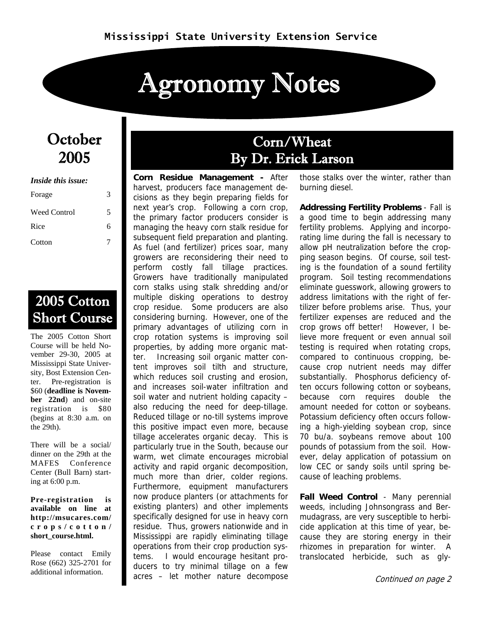# Agronomy Notes

### October 2005

| <i>Inside this issue:</i> |   |  |  |  |  |
|---------------------------|---|--|--|--|--|
| Forage                    | 3 |  |  |  |  |
| Weed Control              | 5 |  |  |  |  |
| Rice                      | 6 |  |  |  |  |
| Cotton                    |   |  |  |  |  |

### 2005 Cotton Short Course

The 2005 Cotton Short Course will be held November 29-30, 2005 at Mississippi State University, Bost Extension Center. Pre-registration is \$60 (**deadline is November 22nd**) and on-site registration is \$80 (begins at 8:30 a.m. on the 29th).

There will be a social/ dinner on the 29th at the MAFES Conference Center (Bull Barn) starting at 6:00 p.m.

**Pre-registration is available on line at http://msucares.com/ crops/cotton/ short\_course.html.** 

Please contact Emily Rose (662) 325-2701 for additional information.

### Corn/Wheat By Dr. Erick Larson

**Corn Residue Management -** After harvest, producers face management decisions as they begin preparing fields for next year's crop. Following a corn crop, the primary factor producers consider is managing the heavy corn stalk residue for subsequent field preparation and planting. As fuel (and fertilizer) prices soar, many growers are reconsidering their need to perform costly fall tillage practices. Growers have traditionally manipulated corn stalks using stalk shredding and/or multiple disking operations to destroy crop residue. Some producers are also considering burning. However, one of the primary advantages of utilizing corn in crop rotation systems is improving soil properties, by adding more organic matter. Increasing soil organic matter content improves soil tilth and structure, which reduces soil crusting and erosion, and increases soil-water infiltration and soil water and nutrient holding capacity – also reducing the need for deep-tillage. Reduced tillage or no-till systems improve this positive impact even more, because tillage accelerates organic decay. This is particularly true in the South, because our warm, wet climate encourages microbial activity and rapid organic decomposition, much more than drier, colder regions. Furthermore, equipment manufacturers now produce planters (or attachments for existing planters) and other implements specifically designed for use in heavy corn residue. Thus, growers nationwide and in Mississippi are rapidly eliminating tillage operations from their crop production systems. I would encourage hesitant producers to try minimal tillage on a few acres – let mother nature decompose

those stalks over the winter, rather than burning diesel.

**Addressing Fertility Problems** - Fall is a good time to begin addressing many fertility problems. Applying and incorporating lime during the fall is necessary to allow pH neutralization before the cropping season begins. Of course, soil testing is the foundation of a sound fertility program. Soil testing recommendations eliminate guesswork, allowing growers to address limitations with the right of fertilizer before problems arise. Thus, your fertilizer expenses are reduced and the crop grows off better! However, I believe more frequent or even annual soil testing is required when rotating crops, compared to continuous cropping, because crop nutrient needs may differ substantially. Phosphorus deficiency often occurs following cotton or soybeans, because corn requires double the amount needed for cotton or soybeans. Potassium deficiency often occurs following a high-yielding soybean crop, since 70 bu/a. soybeans remove about 100 pounds of potassium from the soil. However, delay application of potassium on low CEC or sandy soils until spring because of leaching problems.

**Fall Weed Control** - Many perennial weeds, including Johnsongrass and Bermudagrass, are very susceptible to herbicide application at this time of year, because they are storing energy in their rhizomes in preparation for winter. A translocated herbicide, such as gly-

Continued on page 2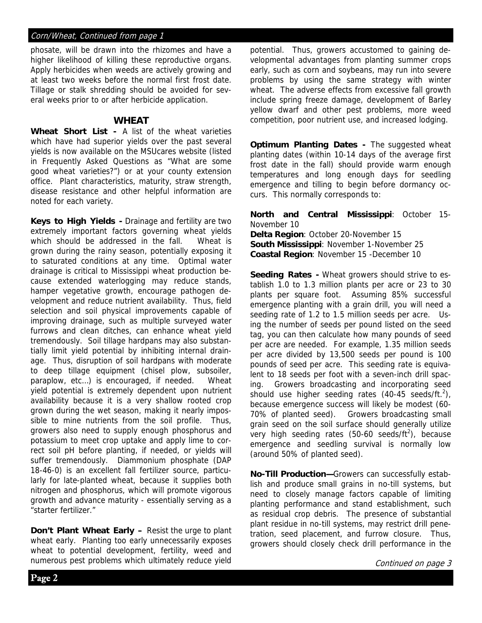#### Corn/Wheat, Continued from page 1

phosate, will be drawn into the rhizomes and have a higher likelihood of killing these reproductive organs. Apply herbicides when weeds are actively growing and at least two weeks before the normal first frost date. Tillage or stalk shredding should be avoided for several weeks prior to or after herbicide application.

#### **WHEAT**

**Wheat Short List -** A list of the wheat varieties which have had superior yields over the past several yields is now available on the MSUcares website (listed in Frequently Asked Questions as "What are some good wheat varieties?") or at your county extension office. Plant characteristics, maturity, straw strength, disease resistance and other helpful information are noted for each variety.

**Keys to High Yields -** Drainage and fertility are two extremely important factors governing wheat yields which should be addressed in the fall. Wheat is grown during the rainy season, potentially exposing it to saturated conditions at any time. Optimal water drainage is critical to Mississippi wheat production because extended waterlogging may reduce stands, hamper vegetative growth, encourage pathogen development and reduce nutrient availability. Thus, field selection and soil physical improvements capable of improving drainage, such as multiple surveyed water furrows and clean ditches, can enhance wheat yield tremendously. Soil tillage hardpans may also substantially limit yield potential by inhibiting internal drainage. Thus, disruption of soil hardpans with moderate to deep tillage equipment (chisel plow, subsoiler, paraplow, etc…) is encouraged, if needed. Wheat yield potential is extremely dependent upon nutrient availability because it is a very shallow rooted crop grown during the wet season, making it nearly impossible to mine nutrients from the soil profile. Thus, growers also need to supply enough phosphorus and potassium to meet crop uptake and apply lime to correct soil pH before planting, if needed, or yields will suffer tremendously. Diammonium phosphate (DAP 18-46-0) is an excellent fall fertilizer source, particularly for late-planted wheat, because it supplies both nitrogen and phosphorus, which will promote vigorous growth and advance maturity - essentially serving as a "starter fertilizer."

**Don't Plant Wheat Early –** Resist the urge to plant wheat early. Planting too early unnecessarily exposes wheat to potential development, fertility, weed and numerous pest problems which ultimately reduce yield

potential. Thus, growers accustomed to gaining developmental advantages from planting summer crops early, such as corn and soybeans, may run into severe problems by using the same strategy with winter wheat. The adverse effects from excessive fall growth include spring freeze damage, development of Barley yellow dwarf and other pest problems, more weed competition, poor nutrient use, and increased lodging.

**Optimum Planting Dates -** The suggested wheat planting dates (within 10-14 days of the average first frost date in the fall) should provide warm enough temperatures and long enough days for seedling emergence and tilling to begin before dormancy occurs. This normally corresponds to:

**North and Central Mississippi**: October 15- November 10

**Delta Region**: October 20-November 15 **South Mississippi**: November 1-November 25 **Coastal Region**: November 15 -December 10

**Seeding Rates -** Wheat growers should strive to establish 1.0 to 1.3 million plants per acre or 23 to 30 plants per square foot. Assuming 85% successful emergence planting with a grain drill, you will need a seeding rate of 1.2 to 1.5 million seeds per acre. Using the number of seeds per pound listed on the seed tag, you can then calculate how many pounds of seed per acre are needed. For example, 1.35 million seeds per acre divided by 13,500 seeds per pound is 100 pounds of seed per acre. This seeding rate is equivalent to 18 seeds per foot with a seven-inch drill spacing. Growers broadcasting and incorporating seed should use higher seeding rates  $(40-45 \text{ seeds/ft.}^2)$ , because emergence success will likely be modest (60- 70% of planted seed). Growers broadcasting small grain seed on the soil surface should generally utilize very high seeding rates  $(50-60 \text{ seeds/ft}^2)$ , because emergence and seedling survival is normally low (around 50% of planted seed).

**No-Till Production—**Growers can successfully establish and produce small grains in no-till systems, but need to closely manage factors capable of limiting planting performance and stand establishment, such as residual crop debris. The presence of substantial plant residue in no-till systems, may restrict drill penetration, seed placement, and furrow closure. Thus, growers should closely check drill performance in the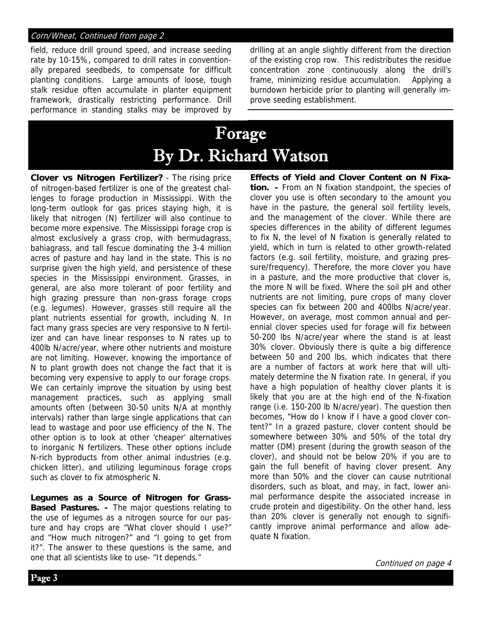#### Corn/Wheat, Continued from page 2

field, reduce drill ground speed, and increase seeding rate by 10-15%, compared to drill rates in conventionally prepared seedbeds, to compensate for difficult planting conditions. Large amounts of loose, tough stalk residue often accumulate in planter equipment framework, drastically restricting performance. Drill performance in standing stalks may be improved by drilling at an angle slightly different from the direction of the existing crop row. This redistributes the residue concentration zone continuously along the drill's frame, minimizing residue accumulation. Applying a burndown herbicide prior to planting will generally improve seeding establishment.

# Forage By Dr. Richard Watson

ł

**Clover vs Nitrogen Fertilizer?** - The rising price of nitrogen-based fertilizer is one of the greatest challenges to forage production in Mississippi. With the long-term outlook for gas prices staying high, it is likely that nitrogen (N) fertilizer will also continue to become more expensive. The Mississippi forage crop is almost exclusively a grass crop, with bermudagrass, bahiagrass, and tall fescue dominating the 3-4 million acres of pasture and hay land in the state. This is no surprise given the high yield, and persistence of these species in the Mississippi environment. Grasses, in general, are also more tolerant of poor fertility and high grazing pressure than non-grass forage crops (e.g. legumes). However, grasses still require all the plant nutrients essential for growth, including N. In fact many grass species are very responsive to N fertilizer and can have linear responses to N rates up to 400lb N/acre/year, where other nutrients and moisture are not limiting. However, knowing the importance of N to plant growth does not change the fact that it is becoming very expensive to apply to our forage crops. We can certainly improve the situation by using best management practices, such as applying small amounts often (between 30-50 units N/A at monthly intervals) rather than large single applications that can lead to wastage and poor use efficiency of the N. The other option is to look at other 'cheaper' alternatives to inorganic N fertilizers. These other options include N-rich byproducts from other animal industries (e.g. chicken litter), and utilizing leguminous forage crops such as clover to fix atmospheric N.

**Legumes as a Source of Nitrogen for Grass-Based Pastures. -** The major questions relating to the use of legumes as a nitrogen source for our pasture and hay crops are "What clover should I use?" and "How much nitrogen?" and "I going to get from it?". The answer to these questions is the same, and one that all scientists like to use- "It depends."

**Effects of Yield and Clover Content on N Fixation. -** From an N fixation standpoint, the species of clover you use is often secondary to the amount you have in the pasture, the general soil fertility levels, and the management of the clover. While there are species differences in the ability of different legumes to fix N, the level of N fixation is generally related to yield, which in turn is related to other growth-related factors (e.g. soil fertility, moisture, and grazing pressure/frequency). Therefore, the more clover you have in a pasture, and the more productive that clover is, the more N will be fixed. Where the soil pH and other nutrients are not limiting, pure crops of many clover species can fix between 200 and 400lbs N/acre/year. However, on average, most common annual and perennial clover species used for forage will fix between 50-200 lbs N/acre/year where the stand is at least 30% clover. Obviously there is quite a big difference between 50 and 200 lbs, which indicates that there are a number of factors at work here that will ultimately determine the N fixation rate. In general, if you have a high population of healthy clover plants it is likely that you are at the high end of the N-fixation range (i.e. 150-200 lb N/acre/year). The question then becomes, "How do I know if I have a good clover content?" In a grazed pasture, clover content should be somewhere between 30% and 50% of the total dry matter (DM) present (during the growth season of the clover), and should not be below 20% if you are to gain the full benefit of having clover present. Any more than 50% and the clover can cause nutritional disorders, such as bloat, and may, in fact, lower animal performance despite the associated increase in crude protein and digestibility. On the other hand, less than 20% clover is generally not enough to significantly improve animal performance and allow adequate N fixation.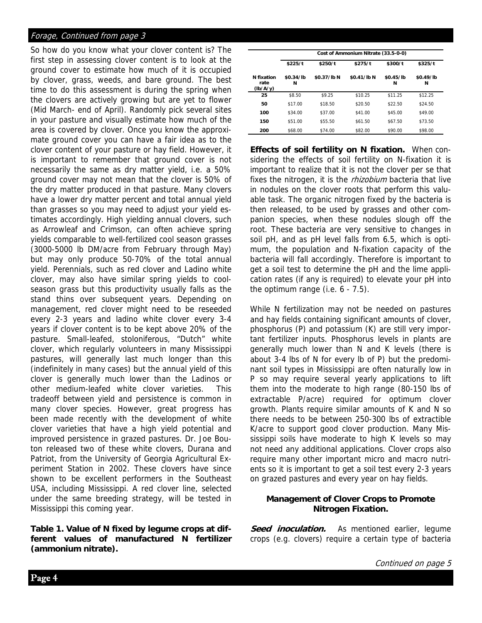#### Forage, Continued from page 3

So how do you know what your clover content is? The first step in assessing clover content is to look at the ground cover to estimate how much of it is occupied by clover, grass, weeds, and bare ground. The best time to do this assessment is during the spring when the clovers are actively growing but are yet to flower (Mid March- end of April). Randomly pick several sites in your pasture and visually estimate how much of the area is covered by clover. Once you know the approximate ground cover you can have a fair idea as to the clover content of your pasture or hay field. However, it is important to remember that ground cover is not necessarily the same as dry matter yield, i.e. a 50% ground cover may not mean that the clover is 50% of the dry matter produced in that pasture. Many clovers have a lower dry matter percent and total annual yield than grasses so you may need to adjust your yield estimates accordingly. High yielding annual clovers, such as Arrowleaf and Crimson, can often achieve spring yields comparable to well-fertilized cool season grasses (3000-5000 lb DM/acre from February through May) but may only produce 50-70% of the total annual yield. Perennials, such as red clover and Ladino white clover, may also have similar spring yields to coolseason grass but this productivity usually falls as the stand thins over subsequent years. Depending on management, red clover might need to be reseeded every 2-3 years and ladino white clover every 3-4 years if clover content is to be kept above 20% of the pasture. Small-leafed, stoloniferous, "Dutch" white clover, which regularly volunteers in many Mississippi pastures, will generally last much longer than this (indefinitely in many cases) but the annual yield of this clover is generally much lower than the Ladinos or other medium-leafed white clover varieties. This tradeoff between yield and persistence is common in many clover species. However, great progress has been made recently with the development of white clover varieties that have a high yield potential and improved persistence in grazed pastures. Dr. Joe Bouton released two of these white clovers, Durana and Patriot, from the University of Georgia Agricultural Experiment Station in 2002. These clovers have since shown to be excellent performers in the Southeast USA, including Mississippi. A red clover line, selected under the same breeding strategy, will be tested in Mississippi this coming year.

**Table 1. Value of N fixed by legume crops at different values of manufactured N fertilizer (ammonium nitrate).** 

|                                | Cost of Ammonium Nitrate (33.5-0-0) |             |             |                |                |  |
|--------------------------------|-------------------------------------|-------------|-------------|----------------|----------------|--|
|                                | \$225/t                             | \$250/t     | \$275/t     | \$300/t        | \$325/t        |  |
| N fixation<br>rate<br>(lb/A/y) | \$0.34/lb<br>N                      | \$0.37/lb N | \$0.41/lb N | \$0.45/lb<br>N | \$0.49/lb<br>N |  |
| 25                             | \$8.50                              | \$9.25      | \$10.25     | \$11.25        | \$12.25        |  |
| 50                             | \$17.00                             | \$18.50     | \$20.50     | \$22.50        | \$24.50        |  |
| 100                            | \$34.00                             | \$37.00     | \$41.00     | \$45.00        | \$49.00        |  |
| 150                            | \$51.00                             | \$55.50     | \$61.50     | \$67.50        | \$73.50        |  |
| 200                            | \$68.00                             | \$74.00     | \$82.00     | \$90.00        | \$98.00        |  |

**Effects of soil fertility on N fixation.** When considering the effects of soil fertility on N-fixation it is important to realize that it is not the clover per se that fixes the nitrogen, it is the *rhizobium* bacteria that live in nodules on the clover roots that perform this valuable task. The organic nitrogen fixed by the bacteria is then released, to be used by grasses and other companion species, when these nodules slough off the root. These bacteria are very sensitive to changes in soil pH, and as pH level falls from 6.5, which is optimum, the population and N-fixation capacity of the bacteria will fall accordingly. Therefore is important to get a soil test to determine the pH and the lime application rates (if any is required) to elevate your pH into the optimum range (i.e. 6 - 7.5).

While N fertilization may not be needed on pastures and hay fields containing significant amounts of clover, phosphorus (P) and potassium (K) are still very important fertilizer inputs. Phosphorus levels in plants are generally much lower than N and K levels (there is about 3-4 lbs of N for every lb of P) but the predominant soil types in Mississippi are often naturally low in P so may require several yearly applications to lift them into the moderate to high range (80-150 lbs of extractable P/acre) required for optimum clover growth. Plants require similar amounts of K and N so there needs to be between 250-300 lbs of extractible K/acre to support good clover production. Many Mississippi soils have moderate to high K levels so may not need any additional applications. Clover crops also require many other important micro and macro nutrients so it is important to get a soil test every 2-3 years on grazed pastures and every year on hay fields.

#### **Management of Clover Crops to Promote Nitrogen Fixation.**

**Seed inoculation.** As mentioned earlier, legume crops (e.g. clovers) require a certain type of bacteria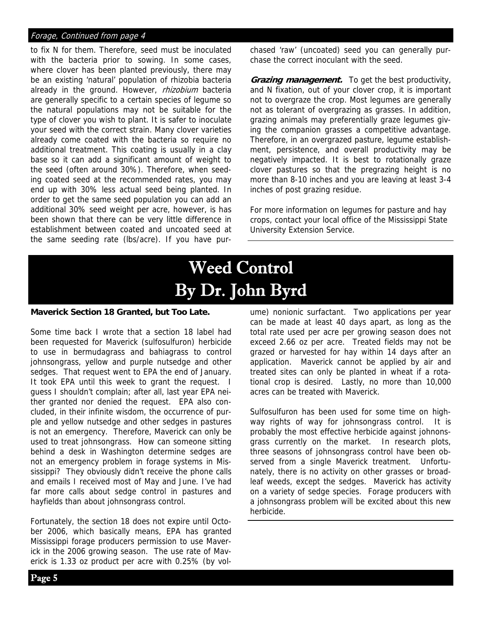#### Forage, Continued from page 4

to fix N for them. Therefore, seed must be inoculated with the bacteria prior to sowing. In some cases, where clover has been planted previously, there may be an existing 'natural' population of rhizobia bacteria already in the ground. However, rhizobium bacteria are generally specific to a certain species of legume so the natural populations may not be suitable for the type of clover you wish to plant. It is safer to inoculate your seed with the correct strain. Many clover varieties already come coated with the bacteria so require no additional treatment. This coating is usually in a clay base so it can add a significant amount of weight to the seed (often around 30%). Therefore, when seeding coated seed at the recommended rates, you may end up with 30% less actual seed being planted. In order to get the same seed population you can add an additional 30% seed weight per acre, however, is has been shown that there can be very little difference in establishment between coated and uncoated seed at the same seeding rate (lbs/acre). If you have pur-

chased 'raw' (uncoated) seed you can generally purchase the correct inoculant with the seed.

**Grazing management.** To get the best productivity, and N fixation, out of your clover crop, it is important not to overgraze the crop. Most legumes are generally not as tolerant of overgrazing as grasses. In addition, grazing animals may preferentially graze legumes giving the companion grasses a competitive advantage. Therefore, in an overgrazed pasture, legume establishment, persistence, and overall productivity may be negatively impacted. It is best to rotationally graze clover pastures so that the pregrazing height is no more than 8-10 inches and you are leaving at least 3-4 inches of post grazing residue.

For more information on legumes for pasture and hay crops, contact your local office of the Mississippi State University Extension Service.

# Weed Control By Dr. John Byrd

#### **Maverick Section 18 Granted, but Too Late.**

Some time back I wrote that a section 18 label had been requested for Maverick (sulfosulfuron) herbicide to use in bermudagrass and bahiagrass to control johnsongrass, yellow and purple nutsedge and other sedges. That request went to EPA the end of January. It took EPA until this week to grant the request. I guess I shouldn't complain; after all, last year EPA neither granted nor denied the request. EPA also concluded, in their infinite wisdom, the occurrence of purple and yellow nutsedge and other sedges in pastures is not an emergency. Therefore, Maverick can only be used to treat johnsongrass. How can someone sitting behind a desk in Washington determine sedges are not an emergency problem in forage systems in Mississippi? They obviously didn't receive the phone calls and emails I received most of May and June. I've had far more calls about sedge control in pastures and hayfields than about johnsongrass control.

Fortunately, the section 18 does not expire until October 2006, which basically means, EPA has granted Mississippi forage producers permission to use Maverick in the 2006 growing season. The use rate of Maverick is 1.33 oz product per acre with 0.25% (by volume) nonionic surfactant. Two applications per year can be made at least 40 days apart, as long as the total rate used per acre per growing season does not exceed 2.66 oz per acre. Treated fields may not be grazed or harvested for hay within 14 days after an application. Maverick cannot be applied by air and treated sites can only be planted in wheat if a rotational crop is desired. Lastly, no more than 10,000 acres can be treated with Maverick.

Sulfosulfuron has been used for some time on highway rights of way for johnsongrass control. It is probably the most effective herbicide against johnonsgrass currently on the market. In research plots, three seasons of johnsongrass control have been observed from a single Maverick treatment. Unfortunately, there is no activity on other grasses or broadleaf weeds, except the sedges. Maverick has activity on a variety of sedge species. Forage producers with a johnsongrass problem will be excited about this new herbicide.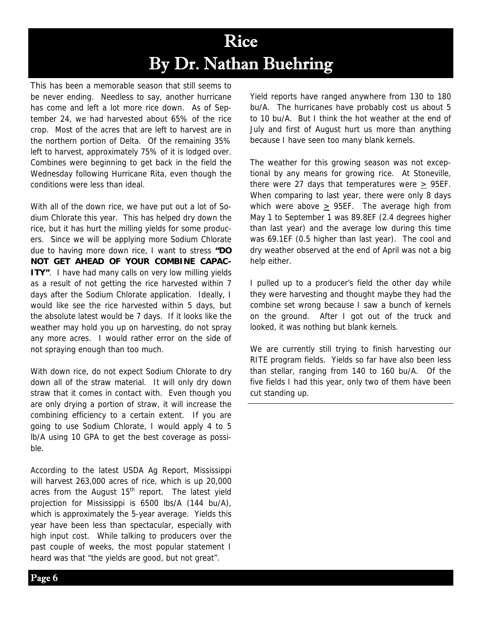## Rice By Dr. Nathan Buehring

This has been a memorable season that still seems to be never ending. Needless to say, another hurricane has come and left a lot more rice down. As of September 24, we had harvested about 65% of the rice crop. Most of the acres that are left to harvest are in the northern portion of Delta. Of the remaining 35% left to harvest, approximately 75% of it is lodged over. Combines were beginning to get back in the field the Wednesday following Hurricane Rita, even though the conditions were less than ideal.

With all of the down rice, we have put out a lot of Sodium Chlorate this year. This has helped dry down the rice, but it has hurt the milling yields for some producers. Since we will be applying more Sodium Chlorate due to having more down rice, I want to stress **"DO NOT GET AHEAD OF YOUR COMBINE CAPAC-ITY"**. I have had many calls on very low milling yields as a result of not getting the rice harvested within 7 days after the Sodium Chlorate application. Ideally, I would like see the rice harvested within 5 days, but the absolute latest would be 7 days. If it looks like the weather may hold you up on harvesting, do not spray any more acres. I would rather error on the side of not spraying enough than too much.

With down rice, do not expect Sodium Chlorate to dry down all of the straw material. It will only dry down straw that it comes in contact with. Even though you are only drying a portion of straw, it will increase the combining efficiency to a certain extent. If you are going to use Sodium Chlorate, I would apply 4 to 5 lb/A using 10 GPA to get the best coverage as possible.

According to the latest USDA Ag Report, Mississippi will harvest 263,000 acres of rice, which is up 20,000 acres from the August  $15<sup>th</sup>$  report. The latest yield projection for Mississippi is 6500 lbs/A (144 bu/A), which is approximately the 5-year average. Yields this year have been less than spectacular, especially with high input cost. While talking to producers over the past couple of weeks, the most popular statement I heard was that "the yields are good, but not great".

Yield reports have ranged anywhere from 130 to 180 bu/A. The hurricanes have probably cost us about 5 to 10 bu/A. But I think the hot weather at the end of July and first of August hurt us more than anything because I have seen too many blank kernels.

The weather for this growing season was not exceptional by any means for growing rice. At Stoneville, there were 27 days that temperatures were  $> 95EF$ . When comparing to last year, there were only 8 days which were above > 95EF. The average high from May 1 to September 1 was 89.8EF (2.4 degrees higher than last year) and the average low during this time was 69.1EF (0.5 higher than last year). The cool and dry weather observed at the end of April was not a big help either.

I pulled up to a producer's field the other day while they were harvesting and thought maybe they had the combine set wrong because I saw a bunch of kernels on the ground. After I got out of the truck and looked, it was nothing but blank kernels.

We are currently still trying to finish harvesting our RITE program fields. Yields so far have also been less than stellar, ranging from 140 to 160 bu/A. Of the five fields I had this year, only two of them have been cut standing up.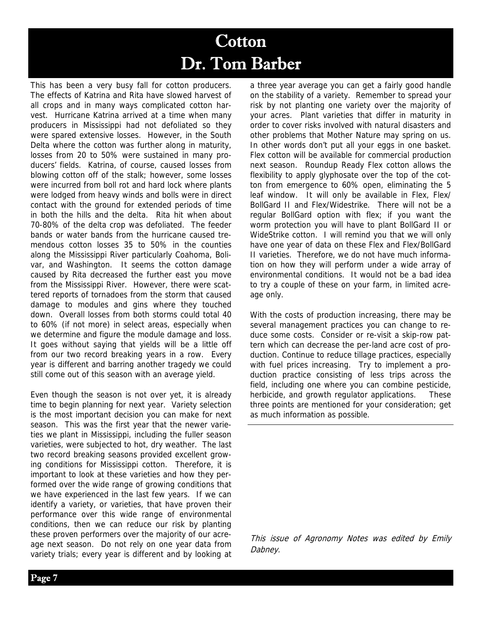## Cotton Dr. Tom Barber

This has been a very busy fall for cotton producers. The effects of Katrina and Rita have slowed harvest of all crops and in many ways complicated cotton harvest. Hurricane Katrina arrived at a time when many producers in Mississippi had not defoliated so they were spared extensive losses. However, in the South Delta where the cotton was further along in maturity, losses from 20 to 50% were sustained in many producers' fields. Katrina, of course, caused losses from blowing cotton off of the stalk; however, some losses were incurred from boll rot and hard lock where plants were lodged from heavy winds and bolls were in direct contact with the ground for extended periods of time in both the hills and the delta. Rita hit when about 70-80% of the delta crop was defoliated. The feeder bands or water bands from the hurricane caused tremendous cotton losses 35 to 50% in the counties along the Mississippi River particularly Coahoma, Bolivar, and Washington. It seems the cotton damage caused by Rita decreased the further east you move from the Mississippi River. However, there were scattered reports of tornadoes from the storm that caused damage to modules and gins where they touched down. Overall losses from both storms could total 40 to 60% (if not more) in select areas, especially when we determine and figure the module damage and loss. It goes without saying that yields will be a little off from our two record breaking years in a row. Every year is different and barring another tragedy we could still come out of this season with an average yield.

Even though the season is not over yet, it is already time to begin planning for next year. Variety selection is the most important decision you can make for next season. This was the first year that the newer varieties we plant in Mississippi, including the fuller season varieties, were subjected to hot, dry weather. The last two record breaking seasons provided excellent growing conditions for Mississippi cotton. Therefore, it is important to look at these varieties and how they performed over the wide range of growing conditions that we have experienced in the last few years. If we can identify a variety, or varieties, that have proven their performance over this wide range of environmental conditions, then we can reduce our risk by planting these proven performers over the majority of our acreage next season. Do not rely on one year data from variety trials; every year is different and by looking at a three year average you can get a fairly good handle on the stability of a variety. Remember to spread your risk by not planting one variety over the majority of your acres. Plant varieties that differ in maturity in order to cover risks involved with natural disasters and other problems that Mother Nature may spring on us. In other words don't put all your eggs in one basket. Flex cotton will be available for commercial production next season. Roundup Ready Flex cotton allows the flexibility to apply glyphosate over the top of the cotton from emergence to 60% open, eliminating the 5 leaf window. It will only be available in Flex, Flex/ BollGard II and Flex/Widestrike. There will not be a regular BollGard option with flex; if you want the worm protection you will have to plant BollGard II or WideStrike cotton. I will remind you that we will only have one year of data on these Flex and Flex/BollGard II varieties. Therefore, we do not have much information on how they will perform under a wide array of environmental conditions. It would not be a bad idea to try a couple of these on your farm, in limited acreage only.

With the costs of production increasing, there may be several management practices you can change to reduce some costs. Consider or re-visit a skip-row pattern which can decrease the per-land acre cost of production. Continue to reduce tillage practices, especially with fuel prices increasing. Try to implement a production practice consisting of less trips across the field, including one where you can combine pesticide, herbicide, and growth regulator applications. These three points are mentioned for your consideration; get as much information as possible. 

This issue of Agronomy Notes was edited by Emily Dabney.